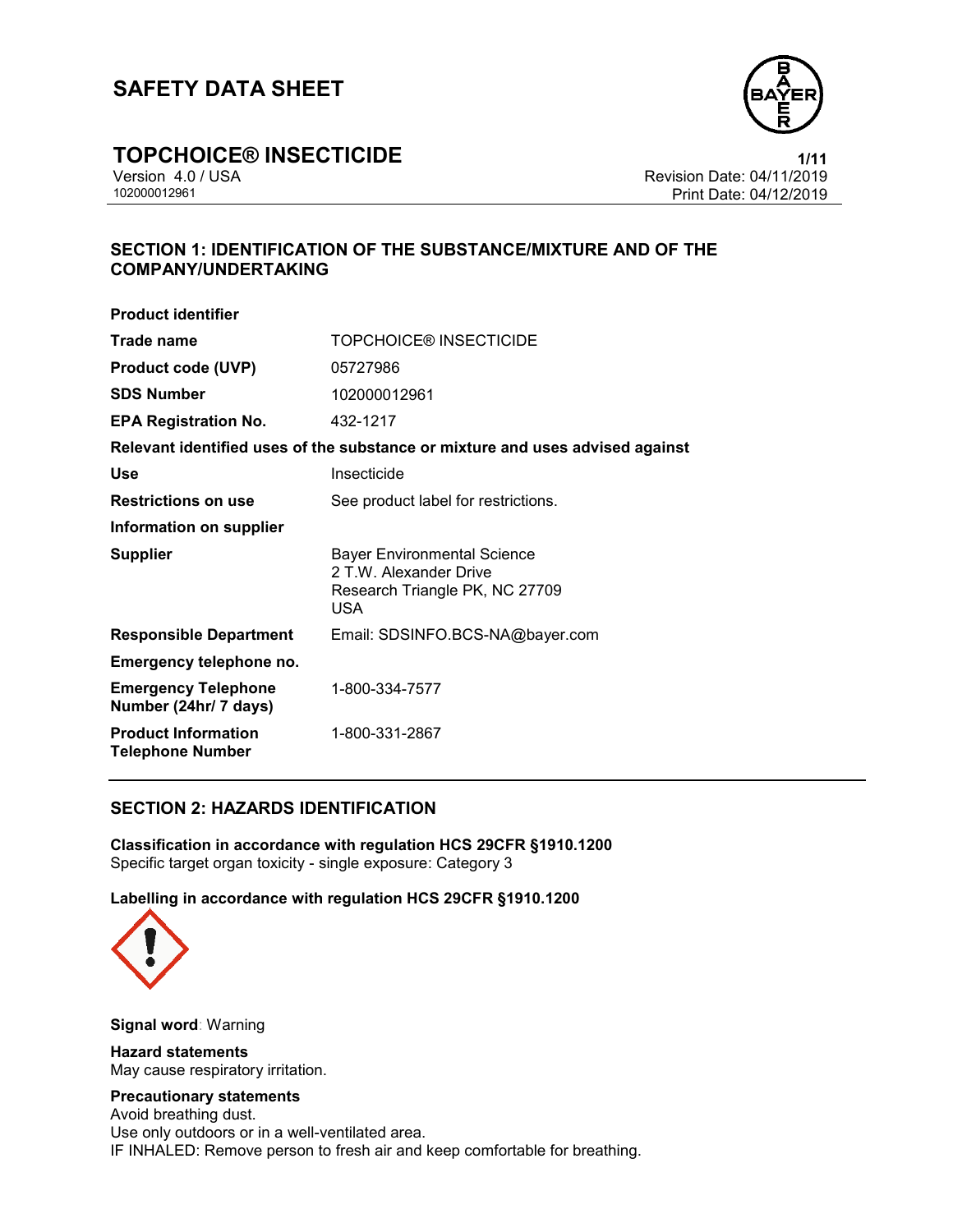

## **TOPCHOICE® INSECTICIDE**<br>Version 4.0 / USA **1/11**<br>Revision Date: 04/11/2019

Version 4.0 / USA Revision Date: 04/11/2019 Print Date: 04/12/2019

#### **SECTION 1: IDENTIFICATION OF THE SUBSTANCE/MIXTURE AND OF THE COMPANY/UNDERTAKING**

| <b>Product identifier</b>                             |                                                                                                              |
|-------------------------------------------------------|--------------------------------------------------------------------------------------------------------------|
| Trade name                                            | <b>TOPCHOICE® INSECTICIDE</b>                                                                                |
| <b>Product code (UVP)</b>                             | 05727986                                                                                                     |
| <b>SDS Number</b>                                     | 102000012961                                                                                                 |
| <b>EPA Registration No.</b>                           | 432-1217                                                                                                     |
|                                                       | Relevant identified uses of the substance or mixture and uses advised against                                |
| Use                                                   | Insecticide                                                                                                  |
| <b>Restrictions on use</b>                            | See product label for restrictions.                                                                          |
| Information on supplier                               |                                                                                                              |
| <b>Supplier</b>                                       | <b>Bayer Environmental Science</b><br>2 T.W. Alexander Drive<br>Research Triangle PK, NC 27709<br><b>USA</b> |
| <b>Responsible Department</b>                         | Email: SDSINFO.BCS-NA@bayer.com                                                                              |
| Emergency telephone no.                               |                                                                                                              |
| <b>Emergency Telephone</b><br>Number (24hr/ 7 days)   | 1-800-334-7577                                                                                               |
| <b>Product Information</b><br><b>Telephone Number</b> | 1-800-331-2867                                                                                               |

#### **SECTION 2: HAZARDS IDENTIFICATION**

**Classification in accordance with regulation HCS 29CFR §1910.1200**  Specific target organ toxicity - single exposure: Category 3

**Labelling in accordance with regulation HCS 29CFR §1910.1200**



**Signal word**: Warning

**Hazard statements**  May cause respiratory irritation.

### **Precautionary statements**

Avoid breathing dust. Use only outdoors or in a well-ventilated area. IF INHALED: Remove person to fresh air and keep comfortable for breathing.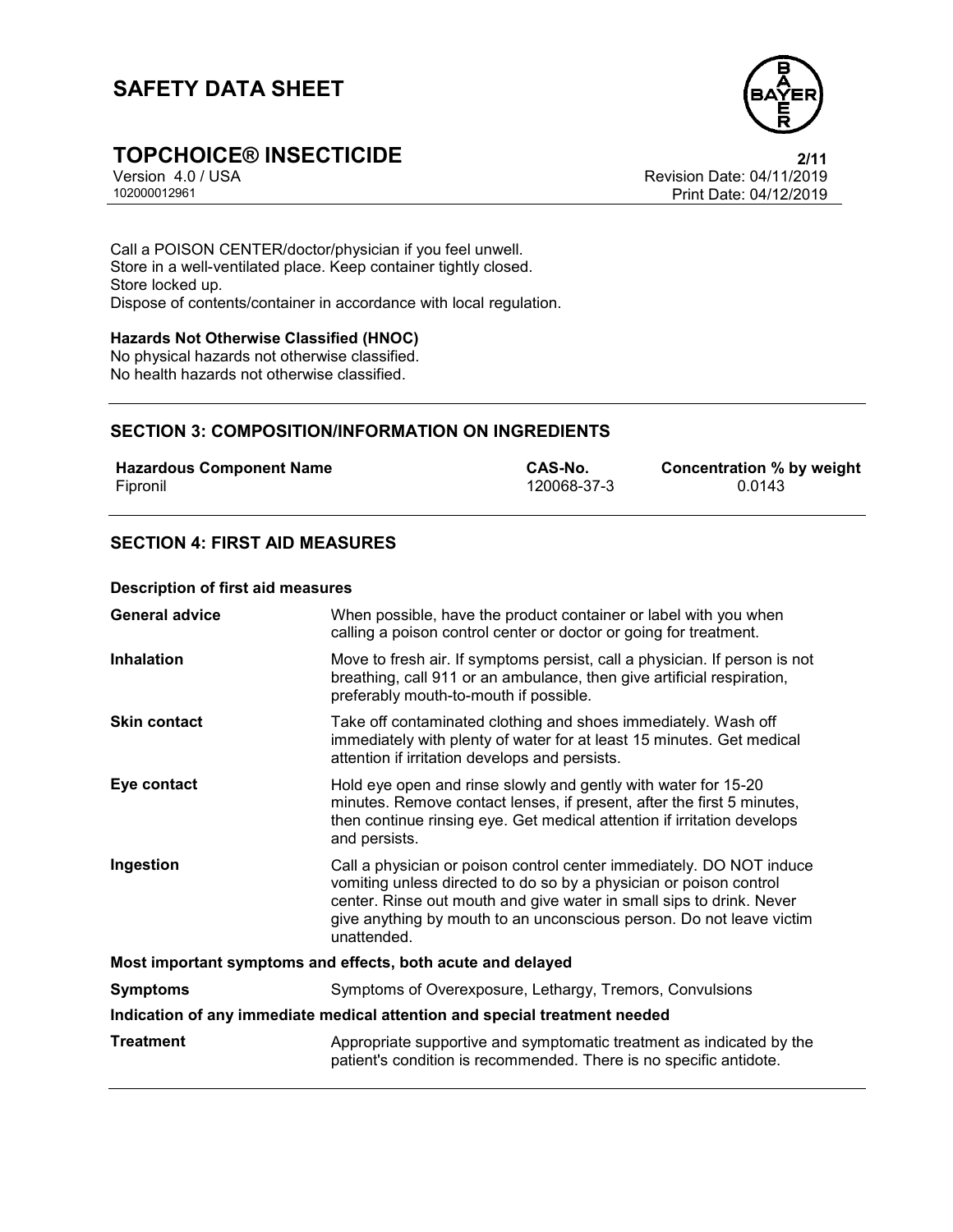

## **TOPCHOICE® INSECTICIDE**<br>Version 4.0 / USA **Proporting the Section A.0** / USA **Proporting the Section Date:** 04/11/2019

Version 4.0 / USA Revision Date: 04/11/2019 Print Date: 04/12/2019

Call a POISON CENTER/doctor/physician if you feel unwell. Store in a well-ventilated place. Keep container tightly closed. Store locked up. Dispose of contents/container in accordance with local regulation.

#### **Hazards Not Otherwise Classified (HNOC)**

No physical hazards not otherwise classified. No health hazards not otherwise classified.

#### **SECTION 3: COMPOSITION/INFORMATION ON INGREDIENTS**

| <b>Hazardous Component Name</b> | CAS-No.     | Concentration % by weight |
|---------------------------------|-------------|---------------------------|
| Fipronil                        | 120068-37-3 | 0.0143                    |

#### **SECTION 4: FIRST AID MEASURES**

#### **Description of first aid measures**

| <b>General advice</b>                                                      | When possible, have the product container or label with you when<br>calling a poison control center or doctor or going for treatment.                                                                                                                                                                     |  |
|----------------------------------------------------------------------------|-----------------------------------------------------------------------------------------------------------------------------------------------------------------------------------------------------------------------------------------------------------------------------------------------------------|--|
| <b>Inhalation</b>                                                          | Move to fresh air. If symptoms persist, call a physician. If person is not<br>breathing, call 911 or an ambulance, then give artificial respiration,<br>preferably mouth-to-mouth if possible.                                                                                                            |  |
| <b>Skin contact</b>                                                        | Take off contaminated clothing and shoes immediately. Wash off<br>immediately with plenty of water for at least 15 minutes. Get medical<br>attention if irritation develops and persists.                                                                                                                 |  |
| Eye contact                                                                | Hold eye open and rinse slowly and gently with water for 15-20<br>minutes. Remove contact lenses, if present, after the first 5 minutes,<br>then continue rinsing eye. Get medical attention if irritation develops<br>and persists.                                                                      |  |
| Ingestion                                                                  | Call a physician or poison control center immediately. DO NOT induce<br>vomiting unless directed to do so by a physician or poison control<br>center. Rinse out mouth and give water in small sips to drink. Never<br>give anything by mouth to an unconscious person. Do not leave victim<br>unattended. |  |
| Most important symptoms and effects, both acute and delayed                |                                                                                                                                                                                                                                                                                                           |  |
| <b>Symptoms</b>                                                            | Symptoms of Overexposure, Lethargy, Tremors, Convulsions                                                                                                                                                                                                                                                  |  |
| Indication of any immediate medical attention and special treatment needed |                                                                                                                                                                                                                                                                                                           |  |
| <b>Treatment</b>                                                           | Appropriate supportive and symptomatic treatment as indicated by the<br>patient's condition is recommended. There is no specific antidote.                                                                                                                                                                |  |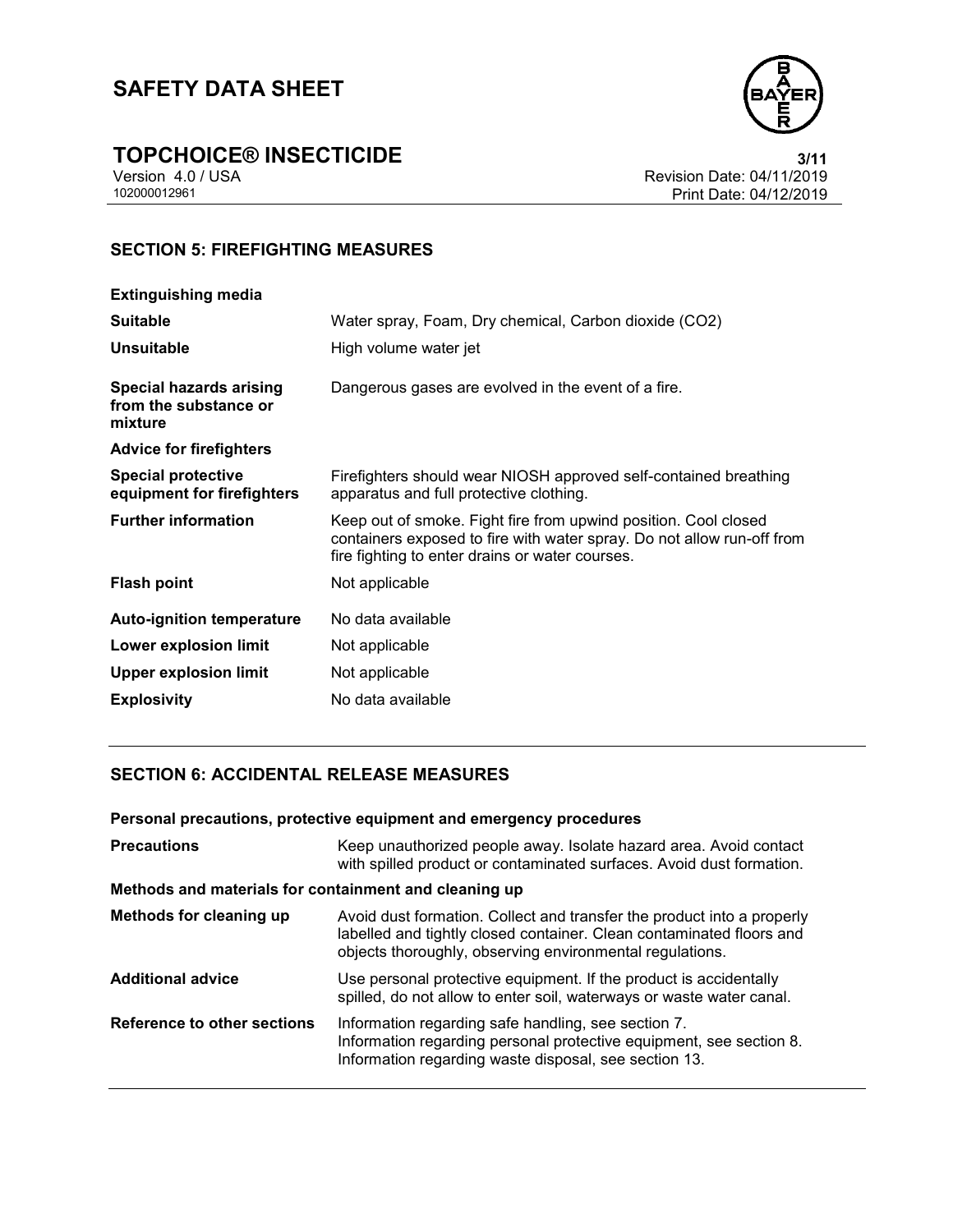

# **TOPCHOICE® INSECTICIDE**<br>Version 4.0 / USA **111/2019**<br>Revision Date: 04/11/2019

Version 4.0 / USA Revision Date: 04/11/2019<br>102000012961 Print Date: 04/12/2019 Print Date: 04/12/2019

### **SECTION 5: FIREFIGHTING MEASURES**

| <b>Extinguishing media</b>                                         |                                                                                                                                                                                              |
|--------------------------------------------------------------------|----------------------------------------------------------------------------------------------------------------------------------------------------------------------------------------------|
| <b>Suitable</b>                                                    | Water spray, Foam, Dry chemical, Carbon dioxide (CO2)                                                                                                                                        |
| <b>Unsuitable</b>                                                  | High volume water jet                                                                                                                                                                        |
| <b>Special hazards arising</b><br>from the substance or<br>mixture | Dangerous gases are evolved in the event of a fire.                                                                                                                                          |
| <b>Advice for firefighters</b>                                     |                                                                                                                                                                                              |
| <b>Special protective</b><br>equipment for firefighters            | Firefighters should wear NIOSH approved self-contained breathing<br>apparatus and full protective clothing.                                                                                  |
| <b>Further information</b>                                         | Keep out of smoke. Fight fire from upwind position. Cool closed<br>containers exposed to fire with water spray. Do not allow run-off from<br>fire fighting to enter drains or water courses. |
| <b>Flash point</b>                                                 | Not applicable                                                                                                                                                                               |
| <b>Auto-ignition temperature</b>                                   | No data available                                                                                                                                                                            |
| <b>Lower explosion limit</b>                                       | Not applicable                                                                                                                                                                               |
| <b>Upper explosion limit</b>                                       | Not applicable                                                                                                                                                                               |
| <b>Explosivity</b>                                                 | No data available                                                                                                                                                                            |

#### **SECTION 6: ACCIDENTAL RELEASE MEASURES**

| Personal precautions, protective equipment and emergency procedures |                                                                                                                                                                                                            |  |
|---------------------------------------------------------------------|------------------------------------------------------------------------------------------------------------------------------------------------------------------------------------------------------------|--|
| <b>Precautions</b>                                                  | Keep unauthorized people away. Isolate hazard area. Avoid contact<br>with spilled product or contaminated surfaces. Avoid dust formation.                                                                  |  |
| Methods and materials for containment and cleaning up               |                                                                                                                                                                                                            |  |
| Methods for cleaning up                                             | Avoid dust formation. Collect and transfer the product into a properly<br>labelled and tightly closed container. Clean contaminated floors and<br>objects thoroughly, observing environmental regulations. |  |
| <b>Additional advice</b>                                            | Use personal protective equipment. If the product is accidentally<br>spilled, do not allow to enter soil, waterways or waste water canal.                                                                  |  |
| Reference to other sections                                         | Information regarding safe handling, see section 7.<br>Information regarding personal protective equipment, see section 8.<br>Information regarding waste disposal, see section 13.                        |  |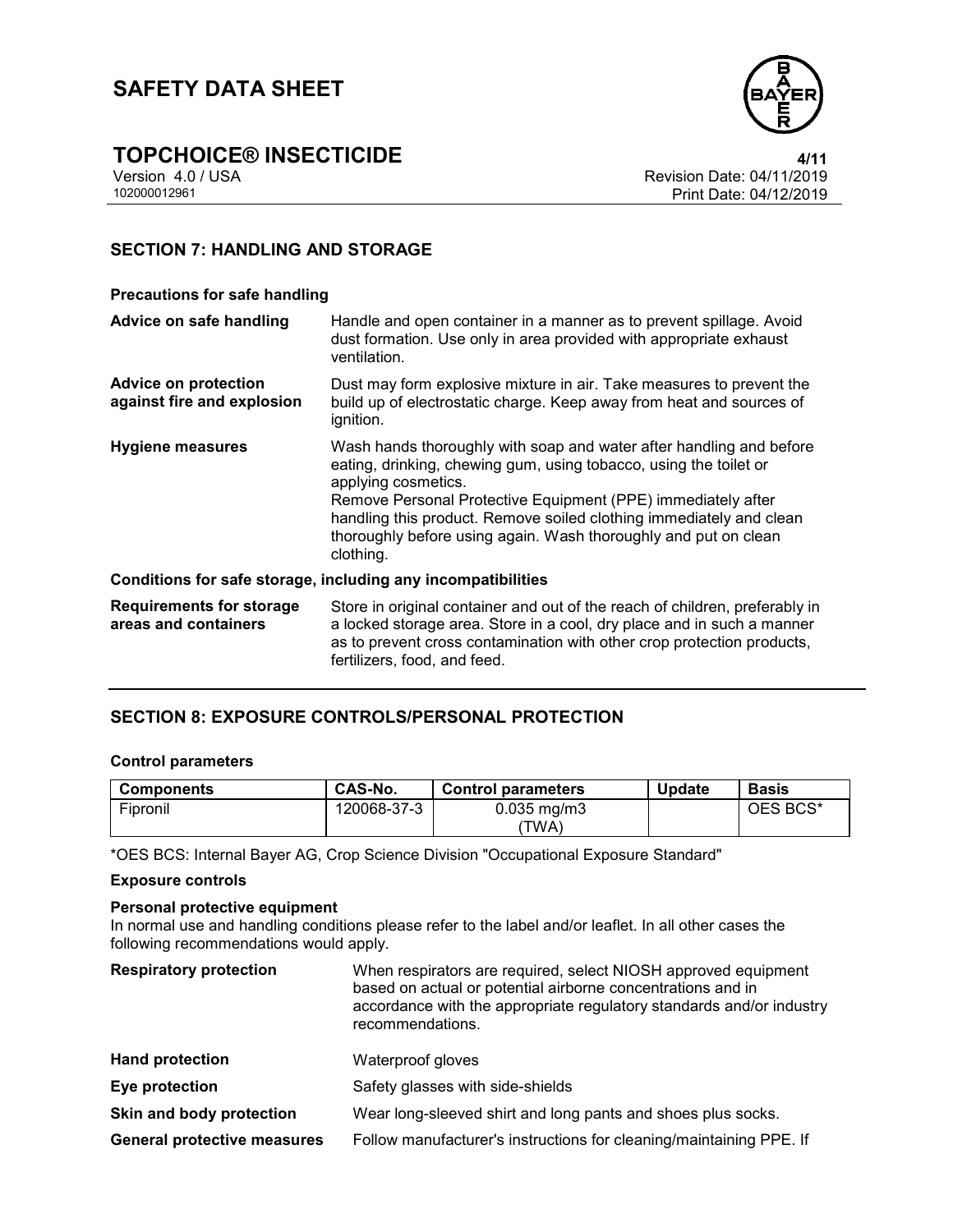



Version 4.0 / USA Revision Date: 04/11/2019 Print Date: 04/12/2019

#### **SECTION 7: HANDLING AND STORAGE**

#### **Precautions for safe handling**

| Advice on safe handling                                      | Handle and open container in a manner as to prevent spillage. Avoid<br>dust formation. Use only in area provided with appropriate exhaust<br>ventilation.                                                                                                                                                                                                                              |  |
|--------------------------------------------------------------|----------------------------------------------------------------------------------------------------------------------------------------------------------------------------------------------------------------------------------------------------------------------------------------------------------------------------------------------------------------------------------------|--|
| <b>Advice on protection</b><br>against fire and explosion    | Dust may form explosive mixture in air. Take measures to prevent the<br>build up of electrostatic charge. Keep away from heat and sources of<br>ignition.                                                                                                                                                                                                                              |  |
| <b>Hygiene measures</b>                                      | Wash hands thoroughly with soap and water after handling and before<br>eating, drinking, chewing gum, using tobacco, using the toilet or<br>applying cosmetics.<br>Remove Personal Protective Equipment (PPE) immediately after<br>handling this product. Remove soiled clothing immediately and clean<br>thoroughly before using again. Wash thoroughly and put on clean<br>clothing. |  |
| Conditions for safe storage, including any incompatibilities |                                                                                                                                                                                                                                                                                                                                                                                        |  |
| <b>Requirements for storage</b><br>areas and containers      | Store in original container and out of the reach of children, preferably in<br>a locked storage area. Store in a cool, dry place and in such a manner<br>as to prevent cross contamination with other crop protection products,<br>fertilizers, food, and feed.                                                                                                                        |  |

#### **SECTION 8: EXPOSURE CONTROLS/PERSONAL PROTECTION**

#### **Control parameters**

| <b>Components</b> | CAS-No.     | <b>Control parameters</b> | <b>Update</b> | <b>Basis</b> |
|-------------------|-------------|---------------------------|---------------|--------------|
| Fipronil          | 120068-37-3 | $0.035$ mg/m $3$<br>'TWA) |               | OES BCS*     |

\*OES BCS: Internal Bayer AG, Crop Science Division "Occupational Exposure Standard"

#### **Exposure controls**

#### **Personal protective equipment**

In normal use and handling conditions please refer to the label and/or leaflet. In all other cases the following recommendations would apply.

| <b>Respiratory protection</b>      | When respirators are required, select NIOSH approved equipment<br>based on actual or potential airborne concentrations and in<br>accordance with the appropriate regulatory standards and/or industry<br>recommendations. |
|------------------------------------|---------------------------------------------------------------------------------------------------------------------------------------------------------------------------------------------------------------------------|
| <b>Hand protection</b>             | Waterproof gloves                                                                                                                                                                                                         |
| Eye protection                     | Safety glasses with side-shields                                                                                                                                                                                          |
| Skin and body protection           | Wear long-sleeved shirt and long pants and shoes plus socks.                                                                                                                                                              |
| <b>General protective measures</b> | Follow manufacturer's instructions for cleaning/maintaining PPE. If                                                                                                                                                       |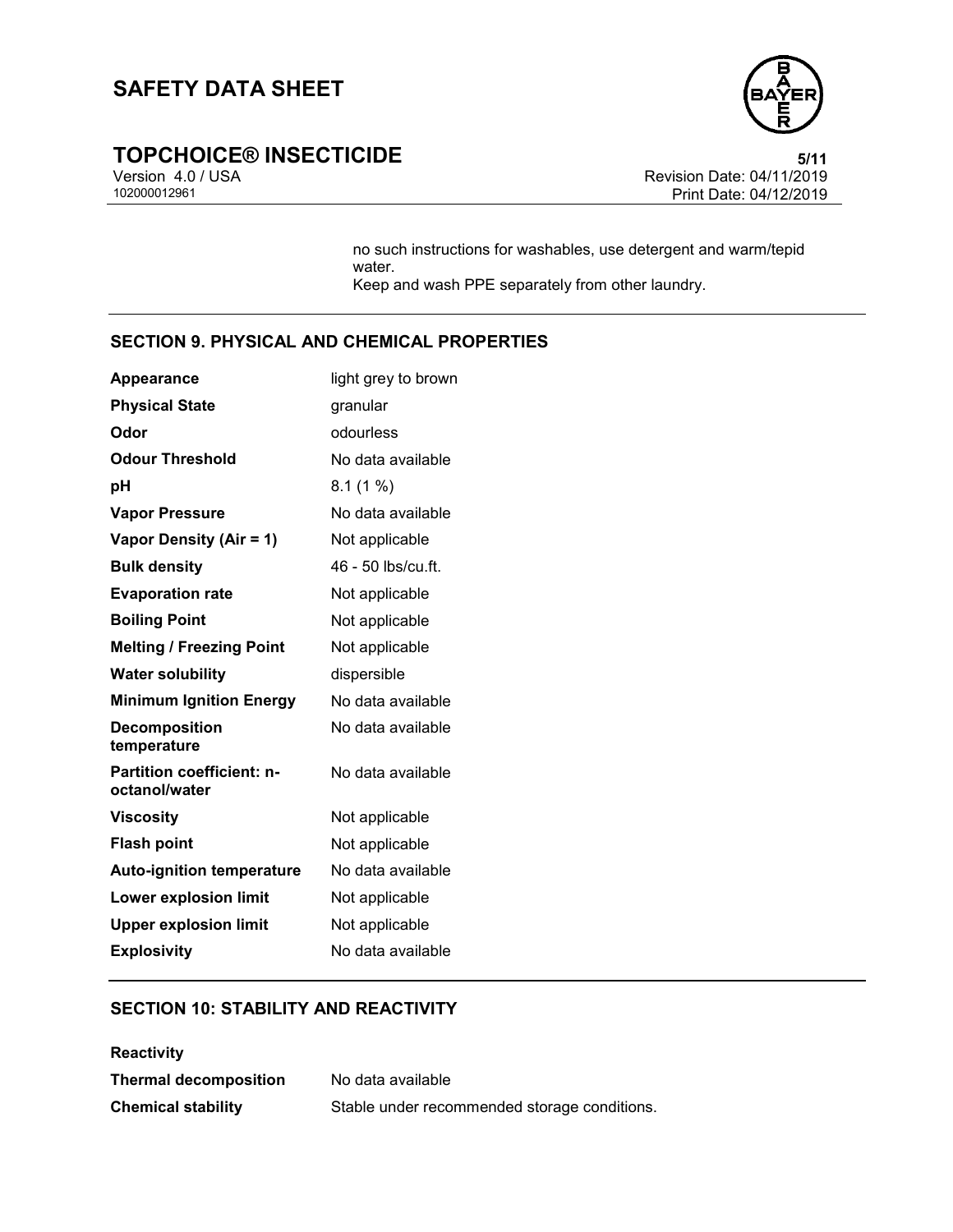

## **TOPCHOICE® INSECTICIDE**<br>Version 4.0 / USA **by Careford Proportion Cate:** 04/11/2019

Version 4.0 / USA Revision Date: 04/11/2019 Print Date: 04/12/2019

> no such instructions for washables, use detergent and warm/tepid water. Keep and wash PPE separately from other laundry.

### **SECTION 9. PHYSICAL AND CHEMICAL PROPERTIES**

| light grey to brown |
|---------------------|
| granular            |
| odourless           |
| No data available   |
| 8.1(1%)             |
| No data available   |
| Not applicable      |
| 46 - 50 lbs/cu.ft.  |
| Not applicable      |
| Not applicable      |
| Not applicable      |
| dispersible         |
| No data available   |
| No data available   |
| No data available   |
| Not applicable      |
| Not applicable      |
| No data available   |
| Not applicable      |
| Not applicable      |
| No data available   |
|                     |

#### **SECTION 10: STABILITY AND REACTIVITY**

| <b>Reactivity</b>            |                                              |
|------------------------------|----------------------------------------------|
| <b>Thermal decomposition</b> | No data available                            |
| <b>Chemical stability</b>    | Stable under recommended storage conditions. |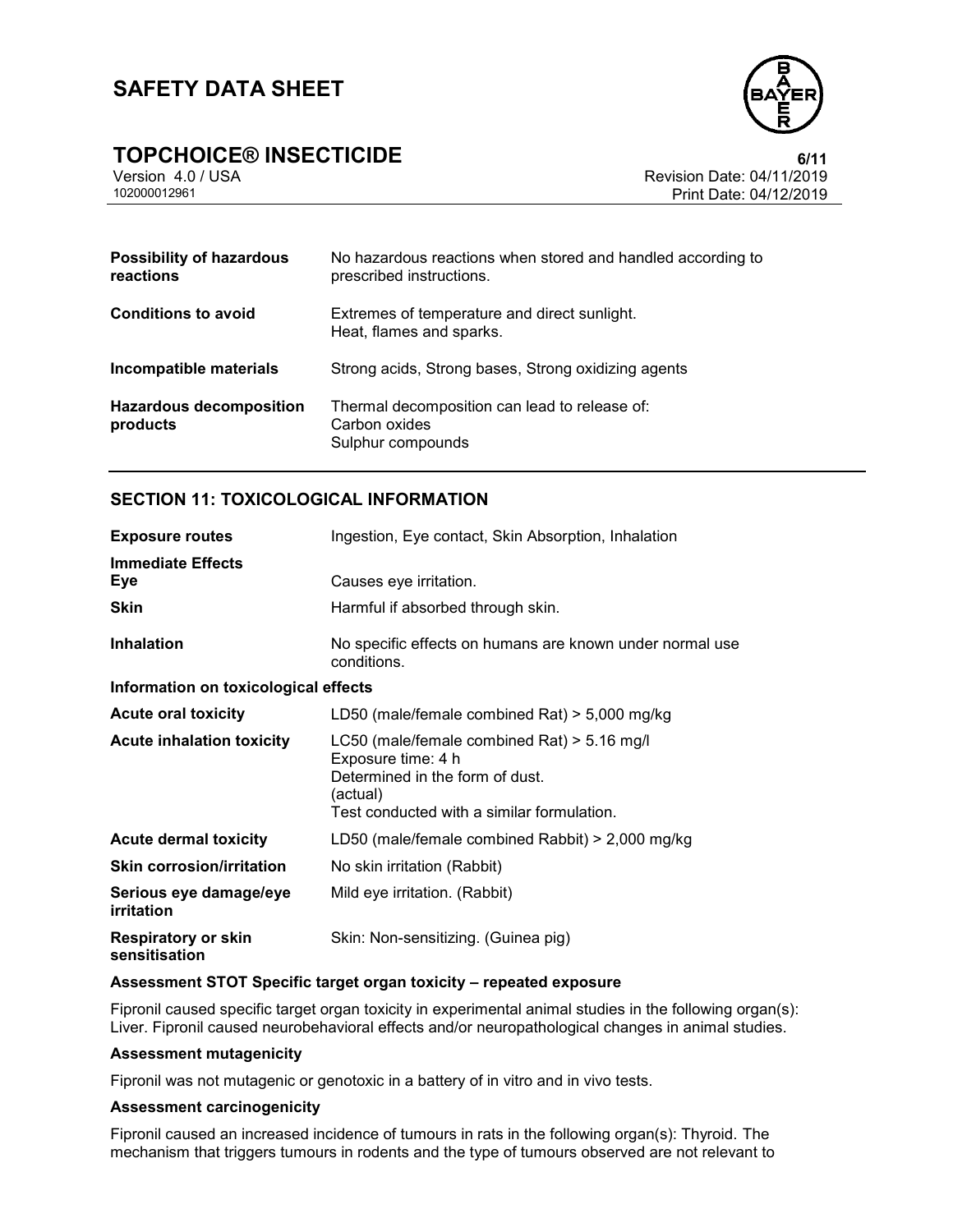

## **TOPCHOICE® INSECTICIDE**<br>Version 4.0 / USA **CONTROLLER CONTROLLER SECTICIDE**<br>Revision Date: 04/11/2019

Version 4.0 / USA Revision Date: 04/11/2019 Print Date: 04/12/2019

| <b>Possibility of hazardous</b><br>reactions | No hazardous reactions when stored and handled according to<br>prescribed instructions. |
|----------------------------------------------|-----------------------------------------------------------------------------------------|
| <b>Conditions to avoid</b>                   | Extremes of temperature and direct sunlight.<br>Heat, flames and sparks.                |
| Incompatible materials                       | Strong acids, Strong bases, Strong oxidizing agents                                     |
| <b>Hazardous decomposition</b><br>products   | Thermal decomposition can lead to release of:<br>Carbon oxides<br>Sulphur compounds     |

#### **SECTION 11: TOXICOLOGICAL INFORMATION**

| <b>Exposure routes</b>                      | Ingestion, Eye contact, Skin Absorption, Inhalation                                                                                                              |  |
|---------------------------------------------|------------------------------------------------------------------------------------------------------------------------------------------------------------------|--|
| <b>Immediate Effects</b><br><b>Eye</b>      | Causes eye irritation.                                                                                                                                           |  |
| <b>Skin</b>                                 | Harmful if absorbed through skin.                                                                                                                                |  |
| <b>Inhalation</b>                           | No specific effects on humans are known under normal use<br>conditions.                                                                                          |  |
| Information on toxicological effects        |                                                                                                                                                                  |  |
| <b>Acute oral toxicity</b>                  | LD50 (male/female combined Rat) $>$ 5,000 mg/kg                                                                                                                  |  |
| <b>Acute inhalation toxicity</b>            | LC50 (male/female combined Rat) $>$ 5.16 mg/l<br>Exposure time: 4 h<br>Determined in the form of dust.<br>(actual)<br>Test conducted with a similar formulation. |  |
| <b>Acute dermal toxicity</b>                | LD50 (male/female combined Rabbit) > 2,000 mg/kg                                                                                                                 |  |
| <b>Skin corrosion/irritation</b>            | No skin irritation (Rabbit)                                                                                                                                      |  |
| Serious eye damage/eye<br>irritation        | Mild eye irritation. (Rabbit)                                                                                                                                    |  |
| <b>Respiratory or skin</b><br>sensitisation | Skin: Non-sensitizing. (Guinea pig)                                                                                                                              |  |

#### **Assessment STOT Specific target organ toxicity – repeated exposure**

Fipronil caused specific target organ toxicity in experimental animal studies in the following organ(s): Liver. Fipronil caused neurobehavioral effects and/or neuropathological changes in animal studies.

#### **Assessment mutagenicity**

Fipronil was not mutagenic or genotoxic in a battery of in vitro and in vivo tests.

#### **Assessment carcinogenicity**

Fipronil caused an increased incidence of tumours in rats in the following organ(s): Thyroid. The mechanism that triggers tumours in rodents and the type of tumours observed are not relevant to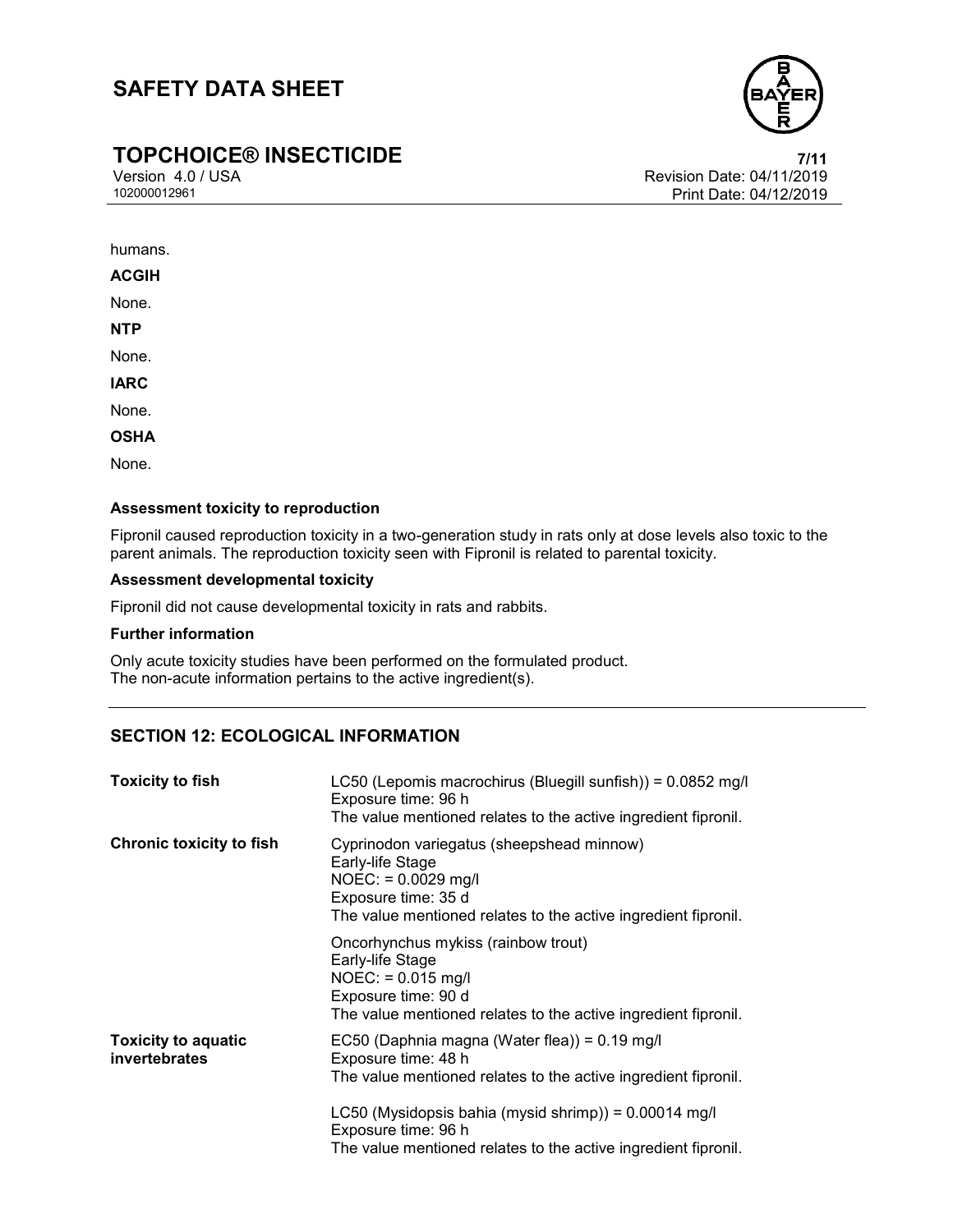

## **TOPCHOICE® INSECTICIDE**<br>Version 4.0 / USA Version 4.0 / USA

Version 4.0 / USA Revision Date: 04/11/2019 Print Date: 04/12/2019

humans.

**ACGIH**

None.

**NTP**

None.

**IARC**

None.

**OSHA**

None.

#### **Assessment toxicity to reproduction**

Fipronil caused reproduction toxicity in a two-generation study in rats only at dose levels also toxic to the parent animals. The reproduction toxicity seen with Fipronil is related to parental toxicity.

#### **Assessment developmental toxicity**

Fipronil did not cause developmental toxicity in rats and rabbits.

#### **Further information**

Only acute toxicity studies have been performed on the formulated product. The non-acute information pertains to the active ingredient(s).

#### **SECTION 12: ECOLOGICAL INFORMATION**

| <b>Toxicity to fish</b>                     | LC50 (Lepomis macrochirus (Bluegill sunfish)) = 0.0852 mg/l<br>Exposure time: 96 h<br>The value mentioned relates to the active ingredient fipronil.                                                                                                                                       |
|---------------------------------------------|--------------------------------------------------------------------------------------------------------------------------------------------------------------------------------------------------------------------------------------------------------------------------------------------|
| <b>Chronic toxicity to fish</b>             | Cyprinodon variegatus (sheepshead minnow)<br>Early-life Stage<br>$NOEC: = 0.0029$ mg/l<br>Exposure time: 35 d<br>The value mentioned relates to the active ingredient fipronil.                                                                                                            |
|                                             | Oncorhynchus mykiss (rainbow trout)<br>Early-life Stage<br>$NOEC: = 0.015$ mg/l<br>Exposure time: 90 d<br>The value mentioned relates to the active ingredient fipronil.                                                                                                                   |
| <b>Toxicity to aquatic</b><br>invertebrates | EC50 (Daphnia magna (Water flea)) = 0.19 mg/l<br>Exposure time: 48 h<br>The value mentioned relates to the active ingredient fipronil.<br>LC50 (Mysidopsis bahia (mysid shrimp)) = $0.00014$ mg/l<br>Exposure time: 96 h<br>The value mentioned relates to the active ingredient fipronil. |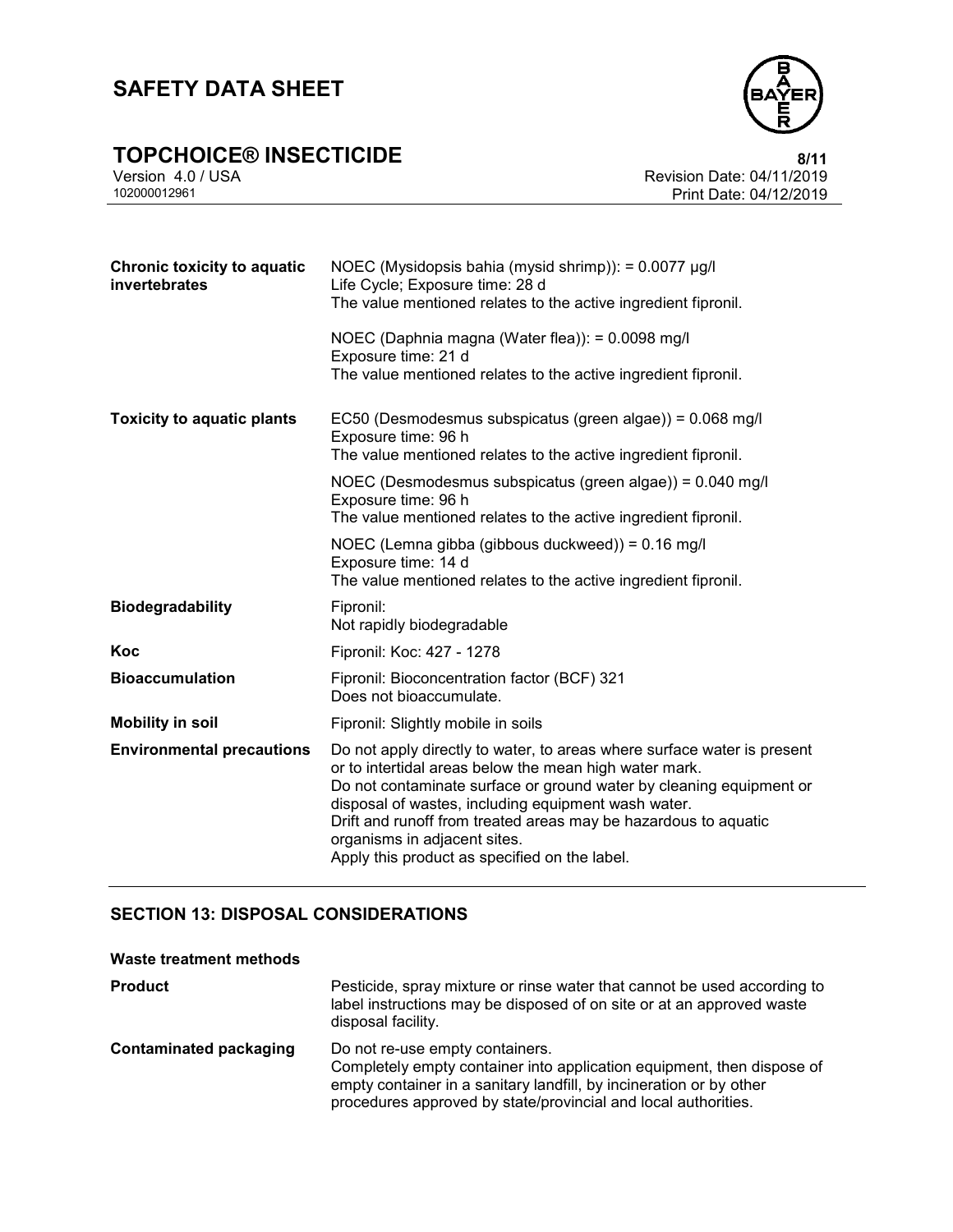

## **TOPCHOICE® INSECTICIDE**<br>Version 4.0 / USA *Revision Date: 04/11/2019*

Version 4.0 / USA Revision Date: 04/11/2019 Print Date: 04/12/2019

| <b>Chronic toxicity to aquatic</b><br>invertebrates | NOEC (Mysidopsis bahia (mysid shrimp)): = 0.0077 µg/l<br>Life Cycle; Exposure time: 28 d<br>The value mentioned relates to the active ingredient fipronil.                                                                                                                                                                                                                                                          |
|-----------------------------------------------------|---------------------------------------------------------------------------------------------------------------------------------------------------------------------------------------------------------------------------------------------------------------------------------------------------------------------------------------------------------------------------------------------------------------------|
|                                                     | NOEC (Daphnia magna (Water flea)): = 0.0098 mg/l<br>Exposure time: 21 d                                                                                                                                                                                                                                                                                                                                             |
|                                                     | The value mentioned relates to the active ingredient fipronil.                                                                                                                                                                                                                                                                                                                                                      |
| <b>Toxicity to aquatic plants</b>                   | EC50 (Desmodesmus subspicatus (green algae)) = 0.068 mg/l<br>Exposure time: 96 h<br>The value mentioned relates to the active ingredient fipronil.                                                                                                                                                                                                                                                                  |
|                                                     | NOEC (Desmodesmus subspicatus (green algae)) = 0.040 mg/l<br>Exposure time: 96 h<br>The value mentioned relates to the active ingredient fipronil.                                                                                                                                                                                                                                                                  |
|                                                     | NOEC (Lemna gibba (gibbous duckweed)) = 0.16 mg/l<br>Exposure time: 14 d<br>The value mentioned relates to the active ingredient fipronil.                                                                                                                                                                                                                                                                          |
| <b>Biodegradability</b>                             | Fipronil:<br>Not rapidly biodegradable                                                                                                                                                                                                                                                                                                                                                                              |
| Koc                                                 | Fipronil: Koc: 427 - 1278                                                                                                                                                                                                                                                                                                                                                                                           |
| <b>Bioaccumulation</b>                              | Fipronil: Bioconcentration factor (BCF) 321<br>Does not bioaccumulate.                                                                                                                                                                                                                                                                                                                                              |
| <b>Mobility in soil</b>                             | Fipronil: Slightly mobile in soils                                                                                                                                                                                                                                                                                                                                                                                  |
| <b>Environmental precautions</b>                    | Do not apply directly to water, to areas where surface water is present<br>or to intertidal areas below the mean high water mark.<br>Do not contaminate surface or ground water by cleaning equipment or<br>disposal of wastes, including equipment wash water.<br>Drift and runoff from treated areas may be hazardous to aquatic<br>organisms in adjacent sites.<br>Apply this product as specified on the label. |

#### **SECTION 13: DISPOSAL CONSIDERATIONS**

#### **Waste treatment methods Product** Pesticide, spray mixture or rinse water that cannot be used according to label instructions may be disposed of on site or at an approved waste disposal facility. **Contaminated packaging** Do not re-use empty containers. Completely empty container into application equipment, then dispose of empty container in a sanitary landfill, by incineration or by other procedures approved by state/provincial and local authorities.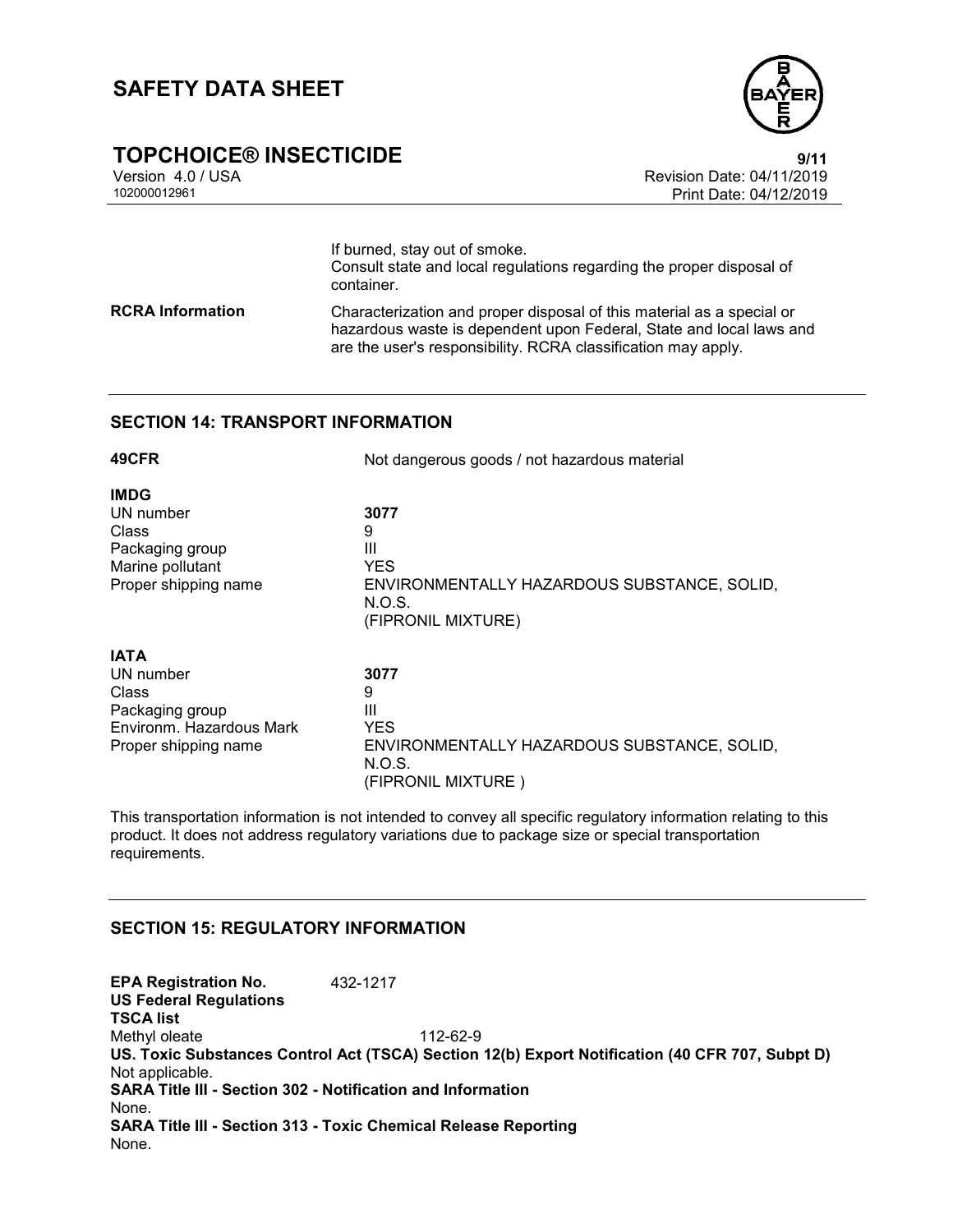

## **TOPCHOICE® INSECTICIDE**<br>Version 4.0 / USA Version 4.0 / USA

Version 4.0 / USA Revision Date: 04/11/2019 Print Date: 04/12/2019

If burned, stay out of smoke. Consult state and local regulations regarding the proper disposal of container. **RCRA Information** Characterization and proper disposal of this material as a special or hazardous waste is dependent upon Federal, State and local laws and are the user's responsibility. RCRA classification may apply.

#### **SECTION 14: TRANSPORT INFORMATION**

| 49CFR                    | Not dangerous goods / not hazardous material                                |  |  |
|--------------------------|-----------------------------------------------------------------------------|--|--|
| IMDG                     |                                                                             |  |  |
| UN number                | 3077                                                                        |  |  |
| Class                    | 9                                                                           |  |  |
| Packaging group          | Ш                                                                           |  |  |
| Marine pollutant         | YES.                                                                        |  |  |
| Proper shipping name     | ENVIRONMENTALLY HAZARDOUS SUBSTANCE, SOLID,<br>N.O.S.<br>(FIPRONIL MIXTURE) |  |  |
| <b>IATA</b>              |                                                                             |  |  |
| UN number                | 3077                                                                        |  |  |
| Class                    | 9                                                                           |  |  |
| Packaging group          | Ш                                                                           |  |  |
| Environm. Hazardous Mark | YES.                                                                        |  |  |
| Proper shipping name     | ENVIRONMENTALLY HAZARDOUS SUBSTANCE, SOLID,<br>N.O.S.                       |  |  |
|                          | (FIPRONIL MIXTURE)                                                          |  |  |

This transportation information is not intended to convey all specific regulatory information relating to this product. It does not address regulatory variations due to package size or special transportation requirements.

#### **SECTION 15: REGULATORY INFORMATION**

**EPA Registration No.** 432-1217 **US Federal Regulations TSCA list** Methyl oleate 112-62-9 **US. Toxic Substances Control Act (TSCA) Section 12(b) Export Notification (40 CFR 707, Subpt D)** Not applicable. **SARA Title III - Section 302 - Notification and Information** None. **SARA Title III - Section 313 - Toxic Chemical Release Reporting** None.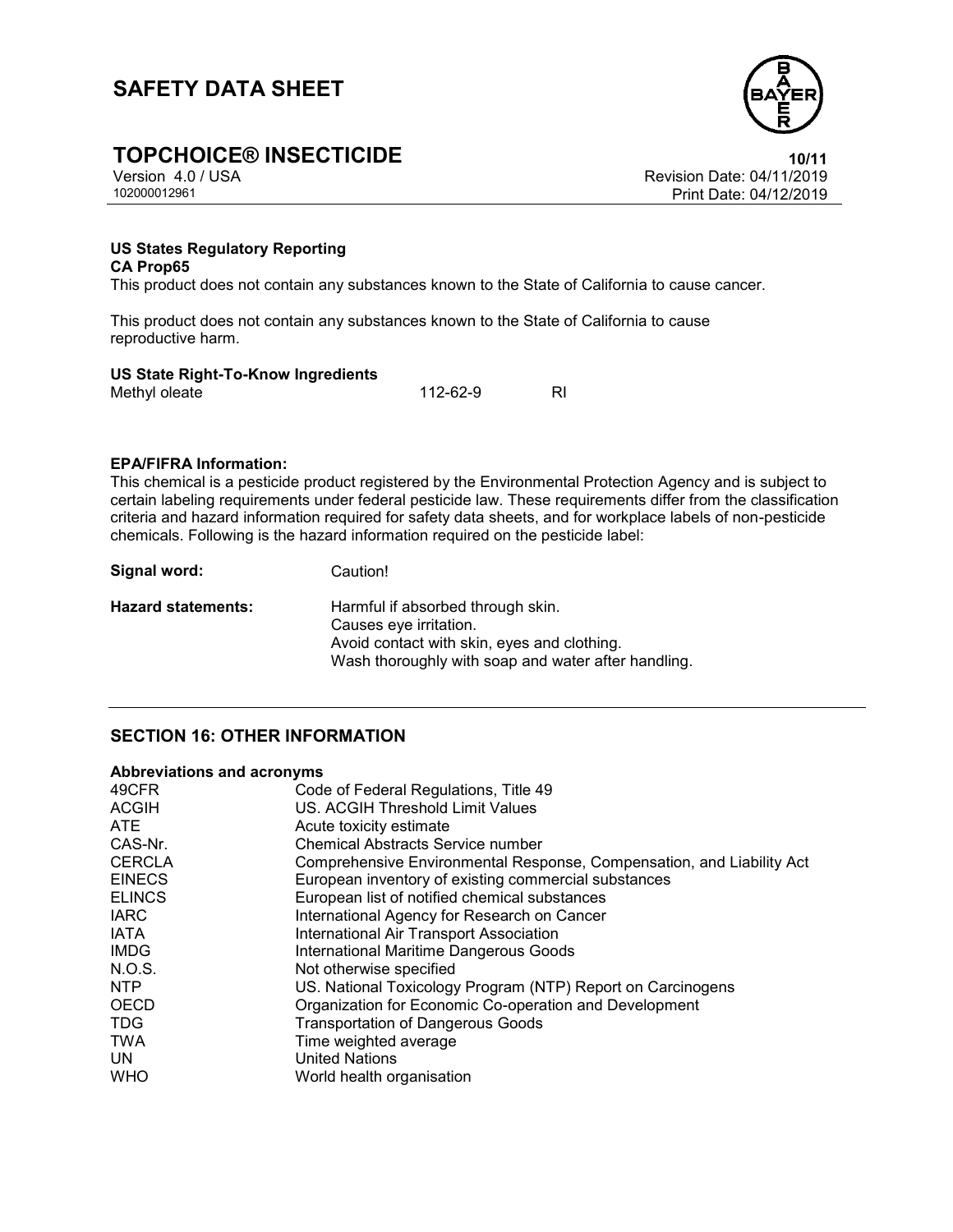

## **TOPCHOICE® INSECTICIDE**<br>Version 4.0 / USA **10/11**<br>Revision Date: 04/11/2019

Version 4.0 / USA Revision Date: 04/11/2019 Print Date: 04/12/2019

#### **US States Regulatory Reporting CA Prop65**

This product does not contain any substances known to the State of California to cause cancer.

This product does not contain any substances known to the State of California to cause reproductive harm.

#### **US State Right-To-Know Ingredients**

| _ _ _ _ _ _ _ |  |          |  |
|---------------|--|----------|--|
| Methyl oleate |  | 112-62-9 |  |
|               |  |          |  |

#### **EPA/FIFRA Information:**

This chemical is a pesticide product registered by the Environmental Protection Agency and is subject to certain labeling requirements under federal pesticide law. These requirements differ from the classification criteria and hazard information required for safety data sheets, and for workplace labels of non-pesticide chemicals. Following is the hazard information required on the pesticide label:

| Signal word:       | Caution!                                                                                                                                                          |
|--------------------|-------------------------------------------------------------------------------------------------------------------------------------------------------------------|
| Hazard statements: | Harmful if absorbed through skin.<br>Causes eye irritation.<br>Avoid contact with skin, eyes and clothing.<br>Wash thoroughly with soap and water after handling. |

#### **SECTION 16: OTHER INFORMATION**

#### **Abbreviations and acronyms**

| 49CFR         | Code of Federal Regulations, Title 49                                 |
|---------------|-----------------------------------------------------------------------|
| <b>ACGIH</b>  | US. ACGIH Threshold Limit Values                                      |
| ATE           | Acute toxicity estimate                                               |
| CAS-Nr.       | Chemical Abstracts Service number                                     |
| <b>CERCLA</b> | Comprehensive Environmental Response, Compensation, and Liability Act |
| <b>EINECS</b> | European inventory of existing commercial substances                  |
| <b>ELINCS</b> | European list of notified chemical substances                         |
| <b>IARC</b>   | International Agency for Research on Cancer                           |
| <b>IATA</b>   | International Air Transport Association                               |
| <b>IMDG</b>   | International Maritime Dangerous Goods                                |
| N.O.S.        | Not otherwise specified                                               |
| NTP           | US. National Toxicology Program (NTP) Report on Carcinogens           |
| <b>OECD</b>   | Organization for Economic Co-operation and Development                |
| <b>TDG</b>    | <b>Transportation of Dangerous Goods</b>                              |
| <b>TWA</b>    | Time weighted average                                                 |
| UN            | <b>United Nations</b>                                                 |
| <b>WHO</b>    | World health organisation                                             |
|               |                                                                       |